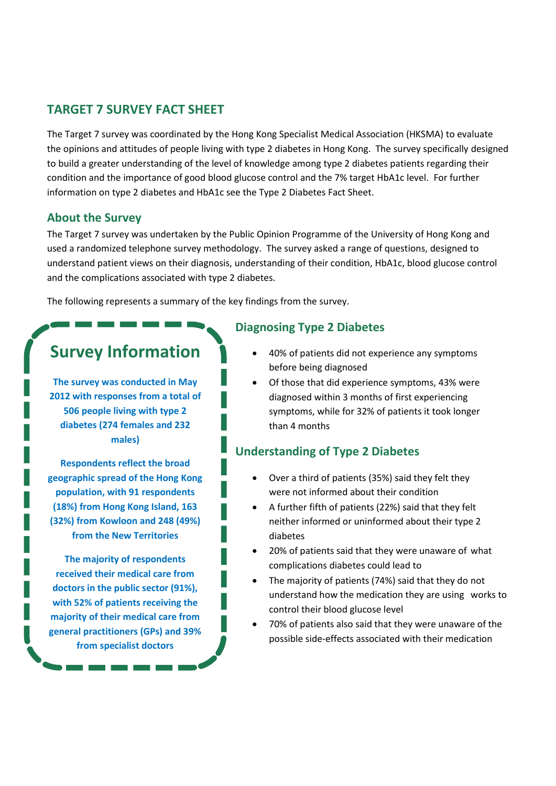### **TARGET 7 SURVEY FACT SHEET**

The Target 7 survey was coordinated by the Hong Kong Specialist Medical Association (HKSMA) to evaluate the opinions and attitudes of people living with type 2 diabetes in Hong Kong. The survey specifically designed to build a greater understanding of the level of knowledge among type 2 diabetes patients regarding their condition and the importance of good blood glucose control and the 7% target HbA1c level. For further information on type 2 diabetes and HbA1c see the Type 2 Diabetes Fact Sheet.

#### **About the Survey**

The Target 7 survey was undertaken by the Public Opinion Programme of the University of Hong Kong and used a randomized telephone survey methodology. The survey asked a range of questions, designed to understand patient views on their diagnosis, understanding of their condition, HbA1c, blood glucose control and the complications associated with type 2 diabetes.

The following represents a summary of the key findings from the survey.

# **Survey Information**

**The survey was conducted in May 2012 with responses from a total of 506 people living with type 2 diabetes (274 females and 232 males)**

**Respondents reflect the broad geographic spread of the Hong Kong population, with 91 respondents (18%) from Hong Kong Island, 163 (32%) from Kowloon and 248 (49%) from the New Territories** 

**The majority of respondents received their medical care from doctors in the public sector (91%), with 52% of patients receiving the majority of their medical care from general practitioners (GPs) and 39% from specialist doctors** 

#### **Diagnosing Type 2 Diabetes**

- 40% of patients did not experience any symptoms before being diagnosed
- Of those that did experience symptoms, 43% were diagnosed within 3 months of first experiencing symptoms, while for 32% of patients it took longer than 4 months

#### **Understanding of Type 2 Diabetes**

- Over a third of patients (35%) said they felt they were not informed about their condition
- A further fifth of patients (22%) said that they felt neither informed or uninformed about their type 2 diabetes
- 20% of patients said that they were unaware of what complications diabetes could lead to
- The majority of patients (74%) said that they do not understand how the medication they are using works to control their blood glucose level
- 70% of patients also said that they were unaware of the possible side-effects associated with their medication